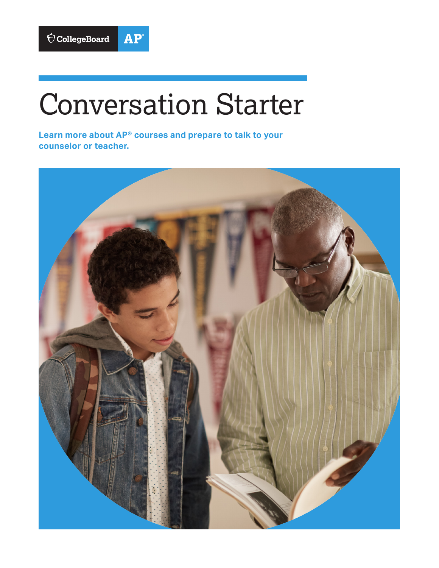

## Conversation Starter

**Learn more about AP® courses and prepare to talk to your counselor or teacher.**

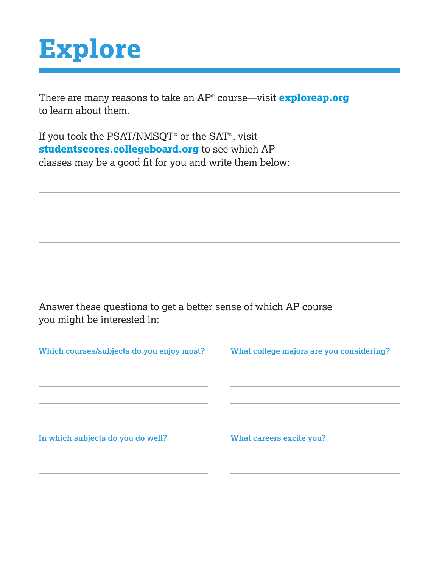## **Explore**

There are many reasons to take an AP® course—visit **exploreap.org** to learn about them.

If you took the PSAT/NMSQT® or the SAT® , visit **studentscores.collegeboard.org** to see which AP classes may be a good fit for you and write them below:

Answer these questions to get a better sense of which AP course you might be interested in:

| Which courses/subjects do you enjoy most? | What college majors are you considering? |
|-------------------------------------------|------------------------------------------|
| In which subjects do you do well?         | What careers excite you?                 |
|                                           |                                          |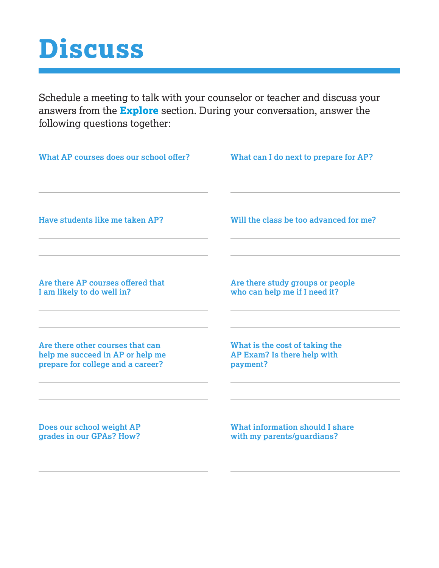## **Discuss**

Schedule a meeting to talk with your counselor or teacher and discuss your answers from the **Explore** section. During your conversation, answer the following questions together:

| What AP courses does our school offer? | What can I do next to prepare for AP?  |
|----------------------------------------|----------------------------------------|
| Have students like me taken AP?        | Will the class be too advanced for me? |
| Are there AP courses offered that      | Are there study groups or people       |
| I am likely to do well in?             | who can help me if I need it?          |
| Are there other courses that can       | What is the cost of taking the         |
| help me succeed in AP or help me       | AP Exam? Is there help with            |
| prepare for college and a career?      | payment?                               |
| Does our school weight AP              | <b>What information should I share</b> |
| grades in our GPAs? How?               | with my parents/guardians?             |
|                                        |                                        |